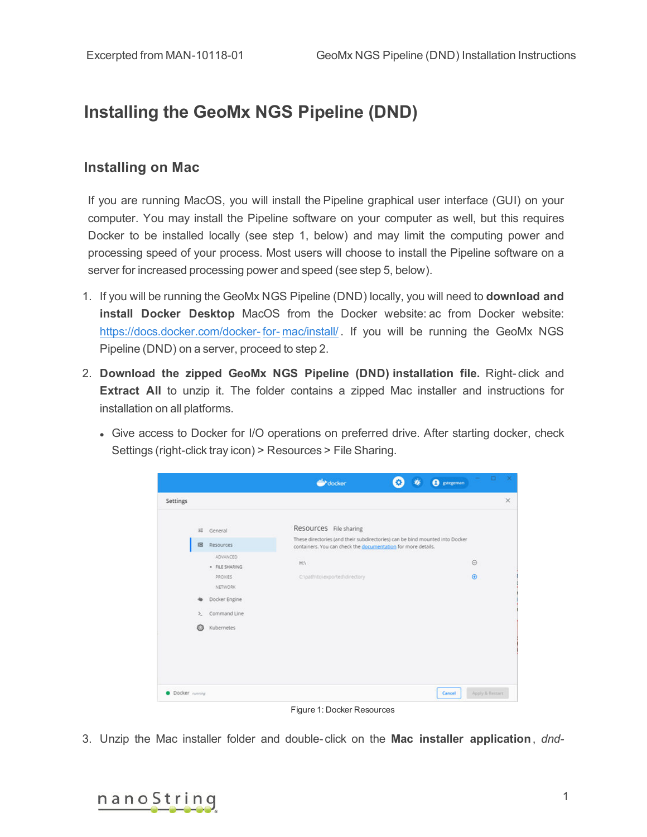## **Installing the GeoMx NGS Pipeline (DND)**

## **Installing on Mac**

If you are running MacOS, you will install the Pipeline graphical user interface (GUI) on your computer. You may install the Pipeline software on your computer as well, but this requires Docker to be installed locally (see step 1, below) and may limit the computing power and processing speed of your process. Most users will choose to install the Pipeline software on a server for increased processing power and speed (see step 5, below).

- 1. If you will be running the GeoMx NGS Pipeline (DND) locally, you will need to **download and install Docker Desktop** MacOS from the Docker website: ac from Docker website: [https://docs.docker.com/docker-](https://docs.docker.com/docker-for-mac/install/) for- mac/install/ . If you will be running the GeoMx NGS Pipeline (DND) on a server, proceed to step 2.
- 2. **Download the zipped GeoMx NGS Pipeline (DND) installation file.** Right- click and **Extract All** to unzip it. The folder contains a zipped Mac installer and instructions for installation on all platforms.
	- Give access to Docker for I/O operations on preferred drive. After starting docker, check Settings (right-click tray icon) > Resources > File Sharing.

|                       |                            | docker                                                                                                                                        |  | <b>B</b> gstegeman |                 | Ð |
|-----------------------|----------------------------|-----------------------------------------------------------------------------------------------------------------------------------------------|--|--------------------|-----------------|---|
| Settings              |                            |                                                                                                                                               |  |                    |                 |   |
|                       | (注 General                 | Resources File sharing                                                                                                                        |  |                    |                 |   |
| 181                   | Resources                  | These directories (and their subdirectories) can be bind mounted into Docker<br>containers. You can check the documentation for more details. |  |                    |                 |   |
|                       | ADVANCED<br>· FILE SHARING | HA.                                                                                                                                           |  |                    | $\odot$         |   |
|                       | PROXIES<br><b>NETWORK</b>  | C:\path\to\exported\directory                                                                                                                 |  |                    | $\circledcirc$  |   |
|                       | Docker Engine              |                                                                                                                                               |  |                    |                 |   |
| $\Sigma$              | Command Line               |                                                                                                                                               |  |                    |                 |   |
| a                     | Kubernetes                 |                                                                                                                                               |  |                    |                 |   |
|                       |                            |                                                                                                                                               |  |                    |                 |   |
|                       |                            |                                                                                                                                               |  |                    |                 |   |
| Docker <i>running</i> |                            |                                                                                                                                               |  | Cancel             | Apply & Restort |   |

Figure 1: Docker Resources

3. Unzip the Mac installer folder and double- click on the **Mac installer application**, *dnd-*

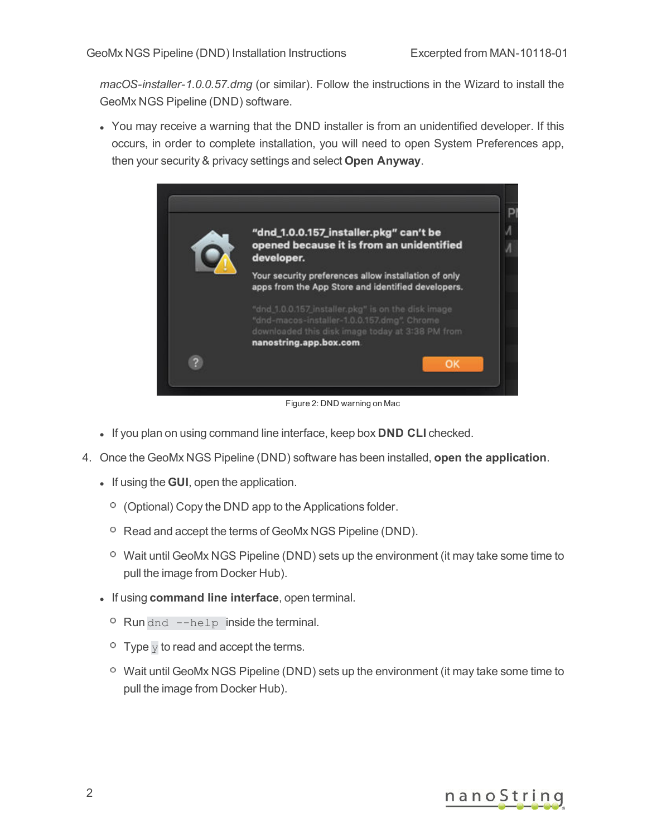*macOS-installer-1.0.0.57.dmg* (or similar). Follow the instructions in the Wizard to install the GeoMx NGS Pipeline (DND) software.

• You may receive a warning that the DND installer is from an unidentified developer. If this occurs, in order to complete installation, you will need to open System Preferences app, then your security & privacy settings and select **Open Anyway**.



Figure 2: DND warning on Mac

- If you plan on using command line interface, keep box **DND CLI** checked.
- 4. Once the GeoMx NGS Pipeline (DND) software has been installed, **open the application**.
	- **.** If using the **GUI**, open the application.
		- $\circ$  (Optional) Copy the DND app to the Applications folder.
		- <sup>o</sup> Read and accept the terms of GeoMx NGS Pipeline (DND).
		- $\degree$  Wait until GeoMx NGS Pipeline (DND) sets up the environment (it may take some time to pull the image from Docker Hub).
	- **.** If using **command line interface**, open terminal.
		- <sup>o</sup> Run dnd --help inside the terminal.
		- $\overline{P}$  Type  $\overline{V}$  to read and accept the terms.
		- $\degree$  Wait until GeoMx NGS Pipeline (DND) sets up the environment (it may take some time to pull the image from Docker Hub).